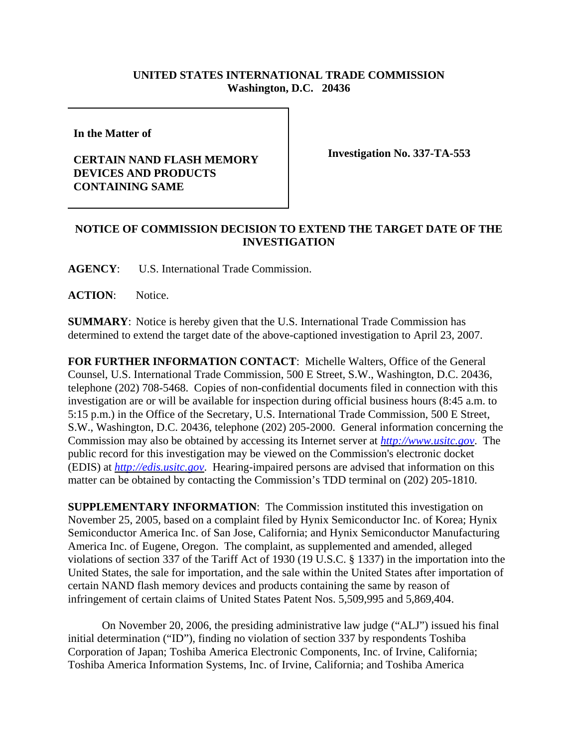## **UNITED STATES INTERNATIONAL TRADE COMMISSION Washington, D.C. 20436**

**In the Matter of** 

## **CERTAIN NAND FLASH MEMORY DEVICES AND PRODUCTS CONTAINING SAME**

**Investigation No. 337-TA-553**

## **NOTICE OF COMMISSION DECISION TO EXTEND THE TARGET DATE OF THE INVESTIGATION**

**AGENCY**: U.S. International Trade Commission.

ACTION: Notice.

**SUMMARY**: Notice is hereby given that the U.S. International Trade Commission has determined to extend the target date of the above-captioned investigation to April 23, 2007.

**FOR FURTHER INFORMATION CONTACT**: Michelle Walters, Office of the General Counsel, U.S. International Trade Commission, 500 E Street, S.W., Washington, D.C. 20436, telephone (202) 708-5468. Copies of non-confidential documents filed in connection with this investigation are or will be available for inspection during official business hours (8:45 a.m. to 5:15 p.m.) in the Office of the Secretary, U.S. International Trade Commission, 500 E Street, S.W., Washington, D.C. 20436, telephone (202) 205-2000. General information concerning the Commission may also be obtained by accessing its Internet server at *http://www.usitc.gov*. The public record for this investigation may be viewed on the Commission's electronic docket (EDIS) at *http://edis.usitc.gov*. Hearing-impaired persons are advised that information on this matter can be obtained by contacting the Commission's TDD terminal on (202) 205-1810.

**SUPPLEMENTARY INFORMATION**: The Commission instituted this investigation on November 25, 2005, based on a complaint filed by Hynix Semiconductor Inc. of Korea; Hynix Semiconductor America Inc. of San Jose, California; and Hynix Semiconductor Manufacturing America Inc. of Eugene, Oregon. The complaint, as supplemented and amended, alleged violations of section 337 of the Tariff Act of 1930 (19 U.S.C. § 1337) in the importation into the United States, the sale for importation, and the sale within the United States after importation of certain NAND flash memory devices and products containing the same by reason of infringement of certain claims of United States Patent Nos. 5,509,995 and 5,869,404.

On November 20, 2006, the presiding administrative law judge ("ALJ") issued his final initial determination ("ID"), finding no violation of section 337 by respondents Toshiba Corporation of Japan; Toshiba America Electronic Components, Inc. of Irvine, California; Toshiba America Information Systems, Inc. of Irvine, California; and Toshiba America